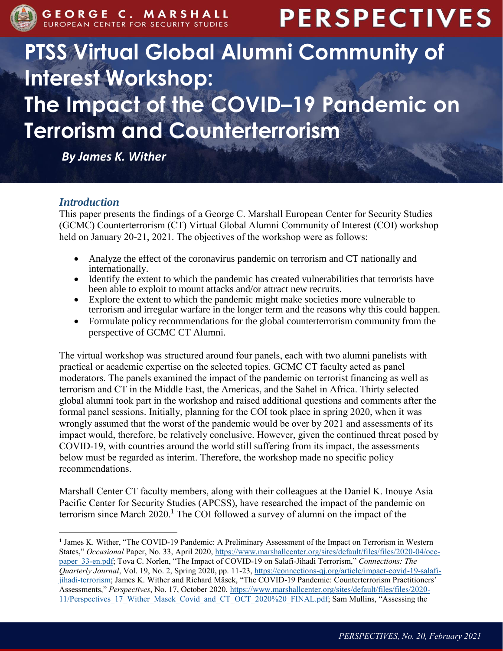

# **PERSPECTIVES**

# **PTSS Virtual Global Alumni Community of Interest Workshop: The Impact of the COVID–19 Pandemic on Terrorism and Counterterrorism**

*By James K. Wither*

# *Introduction*

 $\overline{a}$ 

This paper presents the findings of a George C. Marshall European Center for Security Studies (GCMC) Counterterrorism (CT) Virtual Global Alumni Community of Interest (COI) workshop held on January 20-21, 2021. The objectives of the workshop were as follows:

- Analyze the effect of the coronavirus pandemic on terrorism and CT nationally and internationally.
- Identify the extent to which the pandemic has created vulnerabilities that terrorists have been able to exploit to mount attacks and/or attract new recruits.
- Explore the extent to which the pandemic might make societies more vulnerable to terrorism and irregular warfare in the longer term and the reasons why this could happen.
- Formulate policy recommendations for the global counterterrorism community from the perspective of GCMC CT Alumni.

The virtual workshop was structured around four panels, each with two alumni panelists with practical or academic expertise on the selected topics. GCMC CT faculty acted as panel moderators. The panels examined the impact of the pandemic on terrorist financing as well as terrorism and CT in the Middle East, the Americas, and the Sahel in Africa. Thirty selected global alumni took part in the workshop and raised additional questions and comments after the formal panel sessions. Initially, planning for the COI took place in spring 2020, when it was wrongly assumed that the worst of the pandemic would be over by 2021 and assessments of its impact would, therefore, be relatively conclusive. However, given the continued threat posed by COVID-19, with countries around the world still suffering from its impact, the assessments below must be regarded as interim. Therefore, the workshop made no specific policy recommendations.

Marshall Center CT faculty members, along with their colleagues at the Daniel K. Inouye Asia– Pacific Center for Security Studies (APCSS), have researched the impact of the pandemic on terrorism since March  $2020$ .<sup>1</sup> The COI followed a survey of alumni on the impact of the

<sup>&</sup>lt;sup>1</sup> James K. Wither, "The COVID-19 Pandemic: A Preliminary Assessment of the Impact on Terrorism in Western States," Occasional Paper, No. 33, April 2020, [https://www.marshallcenter.org/sites/default/files/files/2020-04/occ](https://www.marshallcenter.org/sites/default/files/files/2020-04/occ-paper_33-en.pdf)[paper\\_33-en.pdf;](https://www.marshallcenter.org/sites/default/files/files/2020-04/occ-paper_33-en.pdf) Tova C. Norlen, "The Impact of COVID-19 on Salafi-Jihadi Terrorism," *Connections: The Quarterly Journal*, Vol. 19, No. 2, Spring 2020, pp. 11-23, [https://connections-qj.org/article/impact-covid-19-salafi](https://connections-qj.org/article/impact-covid-19-salafi-jihadi-terrorism)[jihadi-terrorism;](https://connections-qj.org/article/impact-covid-19-salafi-jihadi-terrorism) James K. Wither and Richard Mǎsek, "The COVID-19 Pandemic: Counterterrorism Practitioners' Assessments," *Perspectives*, No. 17, October 2020, [https://www.marshallcenter.org/sites/default/files/files/2020-](https://www.marshallcenter.org/sites/default/files/files/2020-11/Perspectives_17_Wither_Masek_Covid_and_CT_OCT_2020%20_FINAL.pdf) [11/Perspectives\\_17\\_Wither\\_Masek\\_Covid\\_and\\_CT\\_OCT\\_2020%20\\_FINAL.pdf;](https://www.marshallcenter.org/sites/default/files/files/2020-11/Perspectives_17_Wither_Masek_Covid_and_CT_OCT_2020%20_FINAL.pdf) Sam Mullins, "Assessing the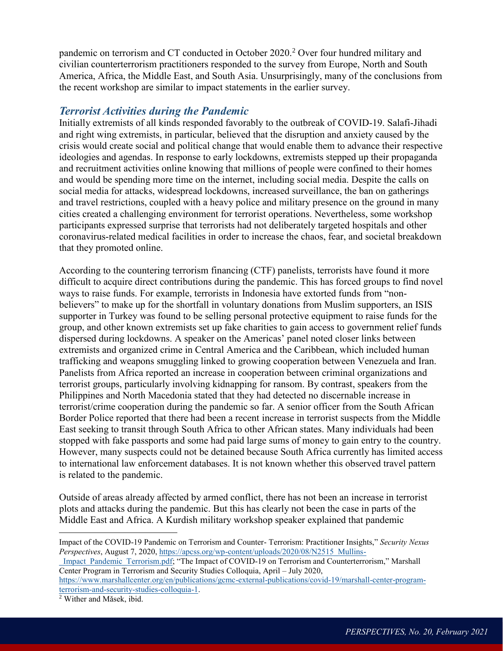pandemic on terrorism and CT conducted in October 2020.<sup>2</sup> Over four hundred military and civilian counterterrorism practitioners responded to the survey from Europe, North and South America, Africa, the Middle East, and South Asia. Unsurprisingly, many of the conclusions from the recent workshop are similar to impact statements in the earlier survey.

#### *Terrorist Activities during the Pandemic*

Initially extremists of all kinds responded favorably to the outbreak of COVID-19. Salafi-Jihadi and right wing extremists, in particular, believed that the disruption and anxiety caused by the crisis would create social and political change that would enable them to advance their respective ideologies and agendas. In response to early lockdowns, extremists stepped up their propaganda and recruitment activities online knowing that millions of people were confined to their homes and would be spending more time on the internet, including social media. Despite the calls on social media for attacks, widespread lockdowns, increased surveillance, the ban on gatherings and travel restrictions, coupled with a heavy police and military presence on the ground in many cities created a challenging environment for terrorist operations. Nevertheless, some workshop participants expressed surprise that terrorists had not deliberately targeted hospitals and other coronavirus-related medical facilities in order to increase the chaos, fear, and societal breakdown that they promoted online.

According to the countering terrorism financing (CTF) panelists, terrorists have found it more difficult to acquire direct contributions during the pandemic. This has forced groups to find novel ways to raise funds. For example, terrorists in Indonesia have extorted funds from "nonbelievers" to make up for the shortfall in voluntary donations from Muslim supporters, an ISIS supporter in Turkey was found to be selling personal protective equipment to raise funds for the group, and other known extremists set up fake charities to gain access to government relief funds dispersed during lockdowns. A speaker on the Americas' panel noted closer links between extremists and organized crime in Central America and the Caribbean, which included human trafficking and weapons smuggling linked to growing cooperation between Venezuela and Iran. Panelists from Africa reported an increase in cooperation between criminal organizations and terrorist groups, particularly involving kidnapping for ransom. By contrast, speakers from the Philippines and North Macedonia stated that they had detected no discernable increase in terrorist/crime cooperation during the pandemic so far. A senior officer from the South African Border Police reported that there had been a recent increase in terrorist suspects from the Middle East seeking to transit through South Africa to other African states. Many individuals had been stopped with fake passports and some had paid large sums of money to gain entry to the country. However, many suspects could not be detained because South Africa currently has limited access to international law enforcement databases. It is not known whether this observed travel pattern is related to the pandemic.

Outside of areas already affected by armed conflict, there has not been an increase in terrorist plots and attacks during the pandemic. But this has clearly not been the case in parts of the Middle East and Africa. A Kurdish military workshop speaker explained that pandemic

 $\overline{a}$ 

Impact of the COVID-19 Pandemic on Terrorism and Counter- Terrorism: Practitioner Insights," *Security Nexus Perspectives*, August 7, 2020, [https://apcss.org/wp-content/uploads/2020/08/N2515\\_Mullins-](https://apcss.org/wp-content/uploads/2020/08/N2515_Mullins-_Impact_Pandemic_Terrorism.pdf)

Impact Pandemic Terrorism.pdf; "The Impact of COVID-19 on Terrorism and Counterterrorism," Marshall Center Program in Terrorism and Security Studies Colloquia, April – July 2020,

[https://www.marshallcenter.org/en/publications/gcmc-external-publications/covid-19/marshall-center-program](https://www.marshallcenter.org/en/publications/gcmc-external-publications/covid-19/marshall-center-program-terrorism-and-security-studies-colloquia-1)[terrorism-and-security-studies-colloquia-1.](https://www.marshallcenter.org/en/publications/gcmc-external-publications/covid-19/marshall-center-program-terrorism-and-security-studies-colloquia-1)

<sup>2</sup> Wither and Mǎsek, ibid.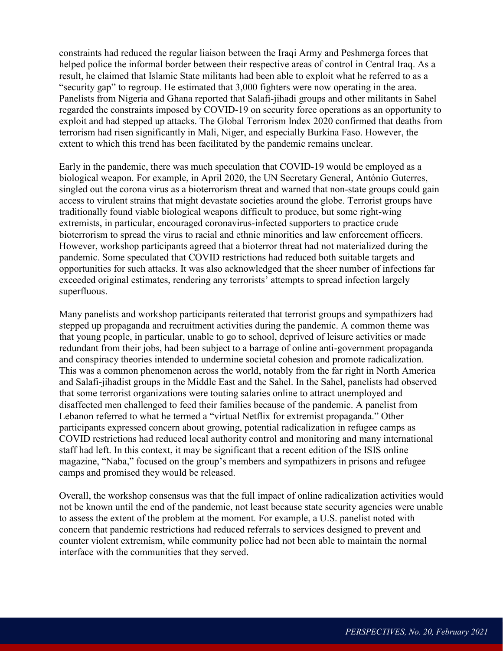constraints had reduced the regular liaison between the Iraqi Army and Peshmerga forces that helped police the informal border between their respective areas of control in Central Iraq. As a result, he claimed that Islamic State militants had been able to exploit what he referred to as a "security gap" to regroup. He estimated that 3,000 fighters were now operating in the area. Panelists from Nigeria and Ghana reported that Salafi-jihadi groups and other militants in Sahel regarded the constraints imposed by COVID-19 on security force operations as an opportunity to exploit and had stepped up attacks. The Global Terrorism Index 2020 confirmed that deaths from terrorism had risen significantly in Mali, Niger, and especially Burkina Faso. However, the extent to which this trend has been facilitated by the pandemic remains unclear.

Early in the pandemic, there was much speculation that COVID-19 would be employed as a biological weapon. For example, in April 2020, the UN Secretary General, António Guterres, singled out the corona virus as a bioterrorism threat and warned that non-state groups could gain access to virulent strains that might devastate societies around the globe. Terrorist groups have traditionally found viable biological weapons difficult to produce, but some right-wing extremists, in particular, encouraged coronavirus-infected supporters to practice crude bioterrorism to spread the virus to racial and ethnic minorities and law enforcement officers. However, workshop participants agreed that a bioterror threat had not materialized during the pandemic. Some speculated that COVID restrictions had reduced both suitable targets and opportunities for such attacks. It was also acknowledged that the sheer number of infections far exceeded original estimates, rendering any terrorists' attempts to spread infection largely superfluous.

Many panelists and workshop participants reiterated that terrorist groups and sympathizers had stepped up propaganda and recruitment activities during the pandemic. A common theme was that young people, in particular, unable to go to school, deprived of leisure activities or made redundant from their jobs, had been subject to a barrage of online anti-government propaganda and conspiracy theories intended to undermine societal cohesion and promote radicalization. This was a common phenomenon across the world, notably from the far right in North America and Salafi-jihadist groups in the Middle East and the Sahel. In the Sahel, panelists had observed that some terrorist organizations were touting salaries online to attract unemployed and disaffected men challenged to feed their families because of the pandemic. A panelist from Lebanon referred to what he termed a "virtual Netflix for extremist propaganda." Other participants expressed concern about growing, potential radicalization in refugee camps as COVID restrictions had reduced local authority control and monitoring and many international staff had left. In this context, it may be significant that a recent edition of the ISIS online magazine, "Naba," focused on the group's members and sympathizers in prisons and refugee camps and promised they would be released.

Overall, the workshop consensus was that the full impact of online radicalization activities would not be known until the end of the pandemic, not least because state security agencies were unable to assess the extent of the problem at the moment. For example, a U.S. panelist noted with concern that pandemic restrictions had reduced referrals to services designed to prevent and counter violent extremism, while community police had not been able to maintain the normal interface with the communities that they served.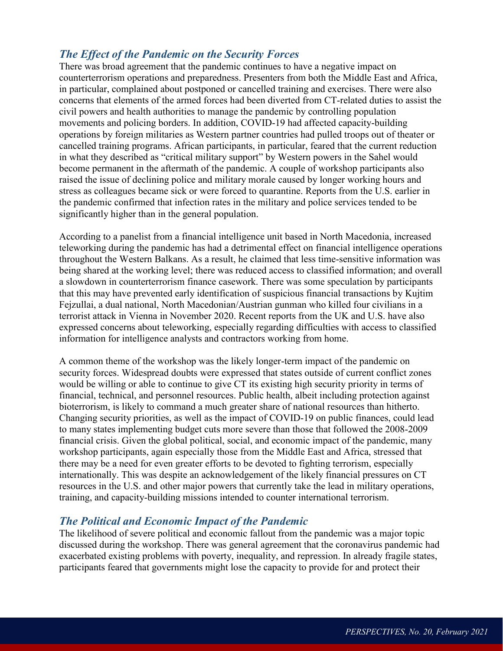## *The Effect of the Pandemic on the Security Forces*

There was broad agreement that the pandemic continues to have a negative impact on counterterrorism operations and preparedness. Presenters from both the Middle East and Africa, in particular, complained about postponed or cancelled training and exercises. There were also concerns that elements of the armed forces had been diverted from CT-related duties to assist the civil powers and health authorities to manage the pandemic by controlling population movements and policing borders. In addition, COVID-19 had affected capacity-building operations by foreign militaries as Western partner countries had pulled troops out of theater or cancelled training programs. African participants, in particular, feared that the current reduction in what they described as "critical military support" by Western powers in the Sahel would become permanent in the aftermath of the pandemic. A couple of workshop participants also raised the issue of declining police and military morale caused by longer working hours and stress as colleagues became sick or were forced to quarantine. Reports from the U.S. earlier in the pandemic confirmed that infection rates in the military and police services tended to be significantly higher than in the general population.

According to a panelist from a financial intelligence unit based in North Macedonia, increased teleworking during the pandemic has had a detrimental effect on financial intelligence operations throughout the Western Balkans. As a result, he claimed that less time-sensitive information was being shared at the working level; there was reduced access to classified information; and overall a slowdown in counterterrorism finance casework. There was some speculation by participants that this may have prevented early identification of suspicious financial transactions by Kujtim Fejzullai, a dual national, North Macedonian/Austrian gunman who killed four civilians in a terrorist attack in Vienna in November 2020. Recent reports from the UK and U.S. have also expressed concerns about teleworking, especially regarding difficulties with access to classified information for intelligence analysts and contractors working from home.

A common theme of the workshop was the likely longer-term impact of the pandemic on security forces. Widespread doubts were expressed that states outside of current conflict zones would be willing or able to continue to give CT its existing high security priority in terms of financial, technical, and personnel resources. Public health, albeit including protection against bioterrorism, is likely to command a much greater share of national resources than hitherto. Changing security priorities, as well as the impact of COVID-19 on public finances, could lead to many states implementing budget cuts more severe than those that followed the 2008-2009 financial crisis. Given the global political, social, and economic impact of the pandemic, many workshop participants, again especially those from the Middle East and Africa, stressed that there may be a need for even greater efforts to be devoted to fighting terrorism, especially internationally. This was despite an acknowledgement of the likely financial pressures on CT resources in the U.S. and other major powers that currently take the lead in military operations, training, and capacity-building missions intended to counter international terrorism.

## *The Political and Economic Impact of the Pandemic*

The likelihood of severe political and economic fallout from the pandemic was a major topic discussed during the workshop. There was general agreement that the coronavirus pandemic had exacerbated existing problems with poverty, inequality, and repression. In already fragile states, participants feared that governments might lose the capacity to provide for and protect their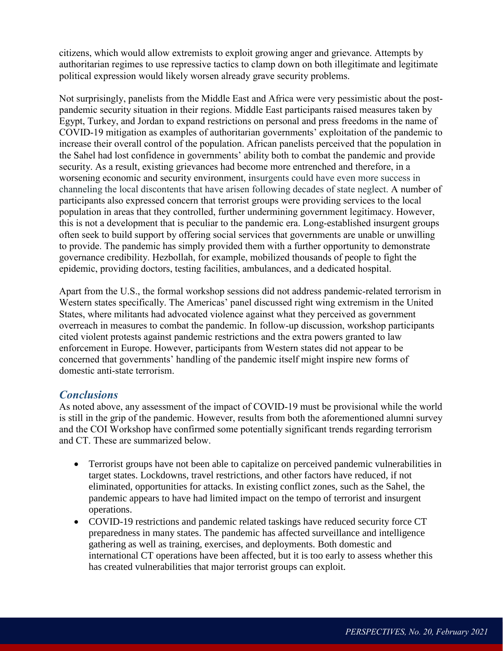citizens, which would allow extremists to exploit growing anger and grievance. Attempts by authoritarian regimes to use repressive tactics to clamp down on both illegitimate and legitimate political expression would likely worsen already grave security problems.

Not surprisingly, panelists from the Middle East and Africa were very pessimistic about the postpandemic security situation in their regions. Middle East participants raised measures taken by Egypt, Turkey, and Jordan to expand restrictions on personal and press freedoms in the name of COVID-19 mitigation as examples of authoritarian governments' exploitation of the pandemic to increase their overall control of the population. African panelists perceived that the population in the Sahel had lost confidence in governments' ability both to combat the pandemic and provide security. As a result, existing grievances had become more entrenched and therefore, in a worsening economic and security environment, insurgents could have even more success in channeling the local discontents that have arisen following decades of state neglect. A number of participants also expressed concern that terrorist groups were providing services to the local population in areas that they controlled, further undermining government legitimacy. However, this is not a development that is peculiar to the pandemic era. Long-established insurgent groups often seek to build support by offering social services that governments are unable or unwilling to provide. The pandemic has simply provided them with a further opportunity to demonstrate governance credibility. Hezbollah, for example, mobilized thousands of people to fight the epidemic, providing doctors, testing facilities, ambulances, and a dedicated hospital.

Apart from the U.S., the formal workshop sessions did not address pandemic-related terrorism in Western states specifically. The Americas' panel discussed right wing extremism in the United States, where militants had advocated violence against what they perceived as government overreach in measures to combat the pandemic. In follow-up discussion, workshop participants cited violent protests against pandemic restrictions and the extra powers granted to law enforcement in Europe. However, participants from Western states did not appear to be concerned that governments' handling of the pandemic itself might inspire new forms of domestic anti-state terrorism.

#### *Conclusions*

As noted above, any assessment of the impact of COVID-19 must be provisional while the world is still in the grip of the pandemic. However, results from both the aforementioned alumni survey and the COI Workshop have confirmed some potentially significant trends regarding terrorism and CT. These are summarized below.

- Terrorist groups have not been able to capitalize on perceived pandemic vulnerabilities in target states. Lockdowns, travel restrictions, and other factors have reduced, if not eliminated, opportunities for attacks. In existing conflict zones, such as the Sahel, the pandemic appears to have had limited impact on the tempo of terrorist and insurgent operations.
- COVID-19 restrictions and pandemic related taskings have reduced security force CT preparedness in many states. The pandemic has affected surveillance and intelligence gathering as well as training, exercises, and deployments. Both domestic and international CT operations have been affected, but it is too early to assess whether this has created vulnerabilities that major terrorist groups can exploit.